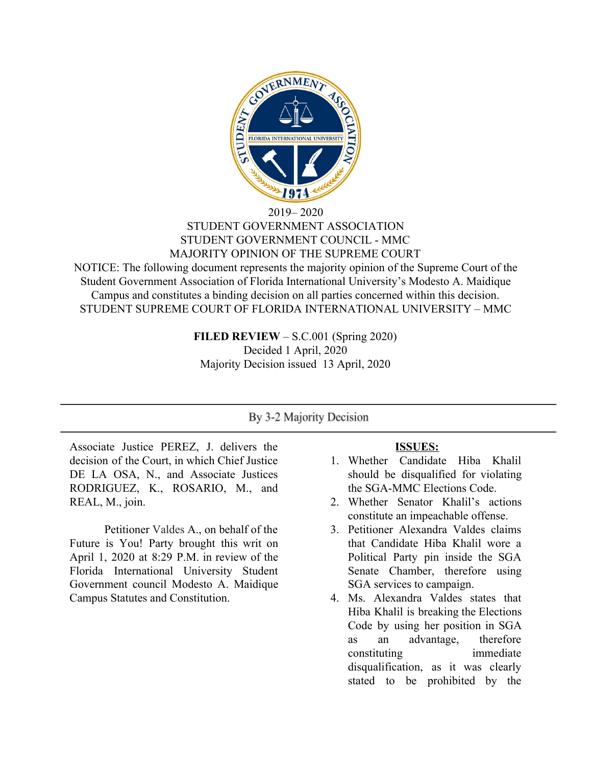

#### 2019– 2020 STUDENT GOVERNMENT ASSOCIATION STUDENT GOVERNMENT COUNCIL - MMC MAJORITY OPINION OF THE SUPREME COURT

NOTICE: The following document represents the majority opinion of the Supreme Court of the Student Government Association of Florida International University's Modesto A. Maidique Campus and constitutes a binding decision on all parties concerned within this decision. STUDENT SUPREME COURT OF FLORIDA INTERNATIONAL UNIVERSITY – MMC

> **FILED REVIEW** – S.C.001 (Spring 2020) Decided 1 April, 2020 Majority Decision issued 13 April, 2020

## By 3-2 Majority Decision

Associate Justice PEREZ, J. delivers the decision of the Court, in which Chief Justice DE LA OSA, N., and Associate Justices RODRIGUEZ, K., ROSARIO, M., and REAL, M., join.

Petitioner Valdes A., on behalf of the Future is You! Party brought this writ on April 1, 2020 at 8:29 P.M. in review of the Florida International University Student Government council Modesto A. Maidique Campus Statutes and Constitution.

### **ISSUES:**

- 1. Whether Candidate Hiba Khalil should be disqualified for violating the SGA-MMC Elections Code.
- 2. Whether Senator Khalil's actions constitute an impeachable offense.
- 3. Petitioner Alexandra Valdes claims that Candidate Hiba Khalil wore a Political Party pin inside the SGA Senate Chamber, therefore using SGA services to campaign.
- 4. Ms. Alexandra Valdes states that Hiba Khalil is breaking the Elections Code by using her position in SGA as an advantage, therefore constituting immediate disqualification, as it was clearly stated to be prohibited by the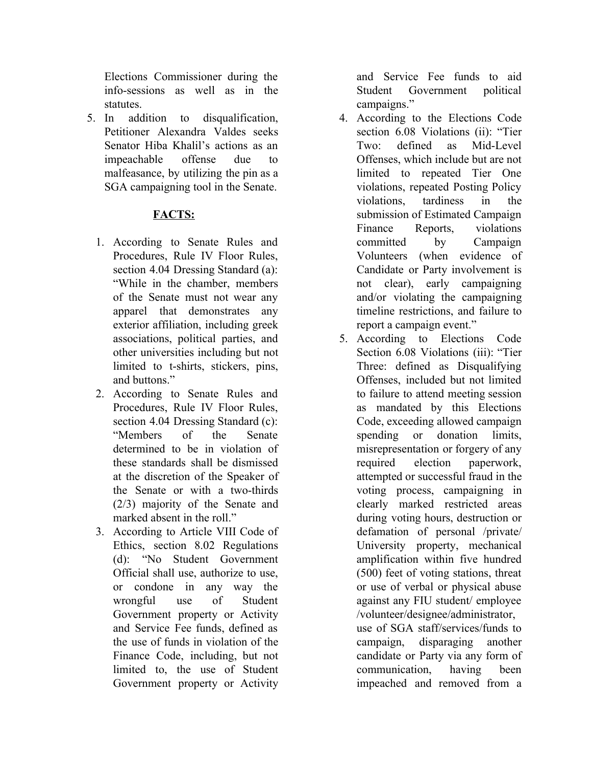Elections Commissioner during the info-sessions as well as in the statutes.

5. In addition to disqualification, Petitioner Alexandra Valdes seeks Senator Hiba Khalil's actions as an impeachable offense due to malfeasance, by utilizing the pin as a SGA campaigning tool in the Senate.

# **FACTS:**

- 1. According to Senate Rules and Procedures, Rule IV Floor Rules, section 4.04 Dressing Standard (a): "While in the chamber, members of the Senate must not wear any apparel that demonstrates any exterior affiliation, including greek associations, political parties, and other universities including but not limited to t-shirts, stickers, pins, and buttons."
- 2. According to Senate Rules and Procedures, Rule IV Floor Rules, section 4.04 Dressing Standard (c): "Members of the Senate determined to be in violation of these standards shall be dismissed at the discretion of the Speaker of the Senate or with a two-thirds (2/3) majority of the Senate and marked absent in the roll."
- 3. According to Article VIII Code of Ethics, section 8.02 Regulations (d): "No Student Government Official shall use, authorize to use, or condone in any way the wrongful use of Student Government property or Activity and Service Fee funds, defined as the use of funds in violation of the Finance Code, including, but not limited to, the use of Student Government property or Activity

and Service Fee funds to aid Student Government political campaigns."

- 4. According to the Elections Code section 6.08 Violations (ii): "Tier Two: defined as Mid-Level Offenses, which include but are not limited to repeated Tier One violations, repeated Posting Policy violations, tardiness in the submission of Estimated Campaign Finance Reports, violations committed by Campaign Volunteers (when evidence of Candidate or Party involvement is not clear), early campaigning and/or violating the campaigning timeline restrictions, and failure to report a campaign event."
- 5. According to Elections Code Section 6.08 Violations (iii): "Tier Three: defined as Disqualifying Offenses, included but not limited to failure to attend meeting session as mandated by this Elections Code, exceeding allowed campaign spending or donation limits, misrepresentation or forgery of any required election paperwork, attempted or successful fraud in the voting process, campaigning in clearly marked restricted areas during voting hours, destruction or defamation of personal /private/ University property, mechanical amplification within five hundred (500) feet of voting stations, threat or use of verbal or physical abuse against any FIU student/ employee /volunteer/designee/administrator, use of SGA staff/services/funds to campaign, disparaging another candidate or Party via any form of communication, having been impeached and removed from a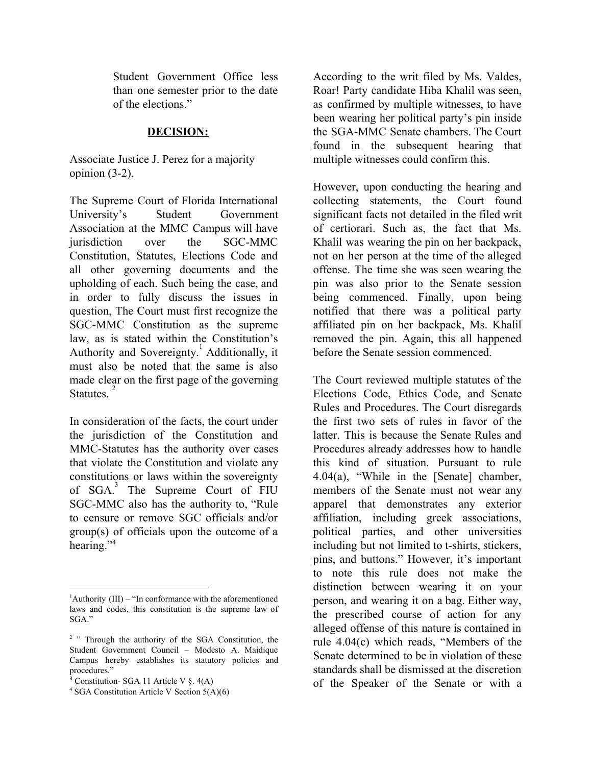Student Government Office less than one semester prior to the date of the elections."

#### **DECISION:**

Associate Justice J. Perez for a majority opinion (3-2),

The Supreme Court of Florida International University's Student Government Association at the MMC Campus will have jurisdiction over the SGC-MMC Constitution, Statutes, Elections Code and all other governing documents and the upholding of each. Such being the case, and in order to fully discuss the issues in question, The Court must first recognize the SGC-MMC Constitution as the supreme law, as is stated within the Constitution's Authority and Sovereignty. Additionally, it <sup>1</sup> must also be noted that the same is also made clear on the first page of the governing Statutes.<sup>2</sup>

In consideration of the facts, the court under the jurisdiction of the Constitution and MMC-Statutes has the authority over cases that violate the Constitution and violate any constitutions or laws within the sovereignty of SGA.<sup>3</sup> The Supreme Court of FIU SGC-MMC also has the authority to, "Rule to censure or remove SGC officials and/or group(s) of officials upon the outcome of a hearing."<sup>4</sup>

According to the writ filed by Ms. Valdes, Roar! Party candidate Hiba Khalil was seen, as confirmed by multiple witnesses, to have been wearing her political party's pin inside the SGA-MMC Senate chambers. The Court found in the subsequent hearing that multiple witnesses could confirm this.

However, upon conducting the hearing and collecting statements, the Court found significant facts not detailed in the filed writ of certiorari. Such as, the fact that Ms. Khalil was wearing the pin on her backpack, not on her person at the time of the alleged offense. The time she was seen wearing the pin was also prior to the Senate session being commenced. Finally, upon being notified that there was a political party affiliated pin on her backpack, Ms. Khalil removed the pin. Again, this all happened before the Senate session commenced.

The Court reviewed multiple statutes of the Elections Code, Ethics Code, and Senate Rules and Procedures. The Court disregards the first two sets of rules in favor of the latter. This is because the Senate Rules and Procedures already addresses how to handle this kind of situation. Pursuant to rule 4.04(a), "While in the [Senate] chamber, members of the Senate must not wear any apparel that demonstrates any exterior affiliation, including greek associations, political parties, and other universities including but not limited to t-shirts, stickers, pins, and buttons." However, it's important to note this rule does not make the distinction between wearing it on your person, and wearing it on a bag. Either way, the prescribed course of action for any alleged offense of this nature is contained in rule 4.04(c) which reads, "Members of the Senate determined to be in violation of these standards shall be dismissed at the discretion of the Speaker of the Senate or with a

 ${}^{1}$ Authority (III) – "In conformance with the aforementioned laws and codes, this constitution is the supreme law of SGA."

<sup>&</sup>lt;sup>2</sup> " Through the authority of the SGA Constitution, the Student Government Council – Modesto A. Maidique Campus hereby establishes its statutory policies and procedures."

<sup>3</sup> Constitution- SGA 11 Article V §. 4(A)

<sup>4</sup> SGA Constitution Article V Section 5(A)(6)